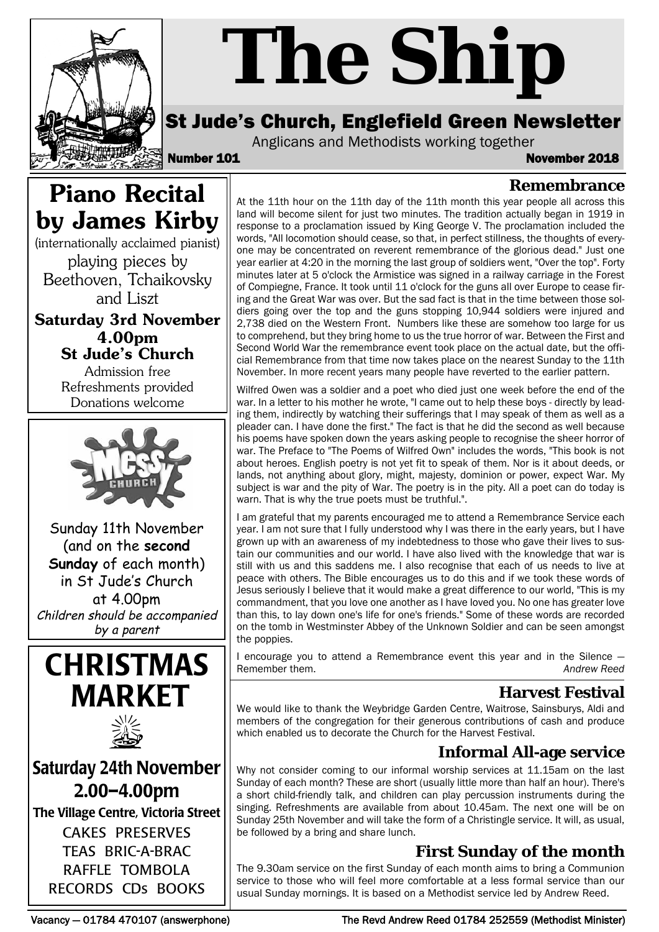

# *The Ship*

### St Jude's Church, Englefield Green Newsletter

Anglicans and Methodists working together

Number 101 November 2018

**Remembrance**

## **Piano Recital by James Kirby**

(internationally acclaimed pianist) playing pieces by Beethoven, Tchaikovsky and Liszt

**Saturday 3rd November 4.00pm St Jude's Church**

Admission free Refreshments provided Donations welcome



Sunday 11th November (and on the **second Sunday** of each month) in St Jude's Church at 4.00pm Children should be accompanied by a parent





**Saturday 24th November 2.00–4.00pm The Village Centre, Victoria Street** CAKES PRESERVES TEAS BRIC-A-BRAC RAFFLE TOMBOLA RECORDS CDs BOOKS

At the 11th hour on the 11th day of the 11th month this year people all across this land will become silent for just two minutes. The tradition actually began in 1919 in response to a proclamation issued by King George V. The proclamation included the words, "All locomotion should cease, so that, in perfect stillness, the thoughts of everyone may be concentrated on reverent remembrance of the glorious dead." Just one year earlier at 4:20 in the morning the last group of soldiers went, "Over the top". Forty minutes later at 5 o'clock the Armistice was signed in a railway carriage in the Forest of Compiegne, France. It took until 11 o'clock for the guns all over Europe to cease firing and the Great War was over. But the sad fact is that in the time between those soldiers going over the top and the guns stopping 10,944 soldiers were injured and 2,738 died on the Western Front. Numbers like these are somehow too large for us to comprehend, but they bring home to us the true horror of war. Between the First and Second World War the remembrance event took place on the actual date, but the official Remembrance from that time now takes place on the nearest Sunday to the 11th November. In more recent years many people have reverted to the earlier pattern.

Wilfred Owen was a soldier and a poet who died just one week before the end of the war. In a letter to his mother he wrote, "I came out to help these boys - directly by leading them, indirectly by watching their sufferings that I may speak of them as well as a pleader can. I have done the first." The fact is that he did the second as well because his poems have spoken down the years asking people to recognise the sheer horror of war. The Preface to "The Poems of Wilfred Own" includes the words, "This book is not about heroes. English poetry is not yet fit to speak of them. Nor is it about deeds, or lands, not anything about glory, might, majesty, dominion or power, expect War. My subject is war and the pity of War. The poetry is in the pity. All a poet can do today is warn. That is why the true poets must be truthful.".

I am grateful that my parents encouraged me to attend a Remembrance Service each year. I am not sure that I fully understood why I was there in the early years, but I have grown up with an awareness of my indebtedness to those who gave their lives to sustain our communities and our world. I have also lived with the knowledge that war is still with us and this saddens me. I also recognise that each of us needs to live at peace with others. The Bible encourages us to do this and if we took these words of Jesus seriously I believe that it would make a great difference to our world, "This is my commandment, that you love one another as I have loved you. No one has greater love than this, to lay down one's life for one's friends." Some of these words are recorded on the tomb in Westminster Abbey of the Unknown Soldier and can be seen amongst the poppies.

I encourage you to attend a Remembrance event this year and in the Silence — Remember them. *Andrew Reed*

#### **Harvest Festival**

We would like to thank the Weybridge Garden Centre, Waitrose, Sainsburys, Aldi and members of the congregation for their generous contributions of cash and produce which enabled us to decorate the Church for the Harvest Festival.

#### **Informal All-age service**

Why not consider coming to our informal worship services at 11.15am on the last Sunday of each month? These are short (usually little more than half an hour). There's a short child-friendly talk, and children can play percussion instruments during the singing. Refreshments are available from about 10.45am. The next one will be on Sunday 25th November and will take the form of a Christingle service. It will, as usual, be followed by a bring and share lunch.

#### **First Sunday of the month**

The 9.30am service on the first Sunday of each month aims to bring a Communion service to those who will feel more comfortable at a less formal service than our usual Sunday mornings. It is based on a Methodist service led by Andrew Reed.